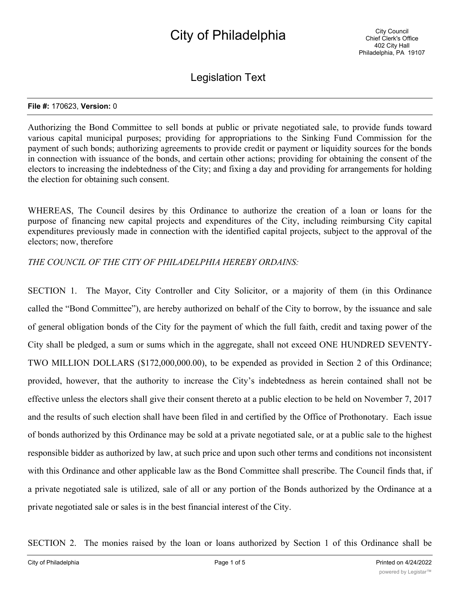# City of Philadelphia

Legislation Text

#### **File #:** 170623, **Version:** 0

Authorizing the Bond Committee to sell bonds at public or private negotiated sale, to provide funds toward various capital municipal purposes; providing for appropriations to the Sinking Fund Commission for the payment of such bonds; authorizing agreements to provide credit or payment or liquidity sources for the bonds in connection with issuance of the bonds, and certain other actions; providing for obtaining the consent of the electors to increasing the indebtedness of the City; and fixing a day and providing for arrangements for holding the election for obtaining such consent.

WHEREAS, The Council desires by this Ordinance to authorize the creation of a loan or loans for the purpose of financing new capital projects and expenditures of the City, including reimbursing City capital expenditures previously made in connection with the identified capital projects, subject to the approval of the electors; now, therefore

## *THE COUNCIL OF THE CITY OF PHILADELPHIA HEREBY ORDAINS:*

SECTION 1. The Mayor, City Controller and City Solicitor, or a majority of them (in this Ordinance called the "Bond Committee"), are hereby authorized on behalf of the City to borrow, by the issuance and sale of general obligation bonds of the City for the payment of which the full faith, credit and taxing power of the City shall be pledged, a sum or sums which in the aggregate, shall not exceed ONE HUNDRED SEVENTY-TWO MILLION DOLLARS (\$172,000,000.00), to be expended as provided in Section 2 of this Ordinance; provided, however, that the authority to increase the City's indebtedness as herein contained shall not be effective unless the electors shall give their consent thereto at a public election to be held on November 7, 2017 and the results of such election shall have been filed in and certified by the Office of Prothonotary. Each issue of bonds authorized by this Ordinance may be sold at a private negotiated sale, or at a public sale to the highest responsible bidder as authorized by law, at such price and upon such other terms and conditions not inconsistent with this Ordinance and other applicable law as the Bond Committee shall prescribe. The Council finds that, if a private negotiated sale is utilized, sale of all or any portion of the Bonds authorized by the Ordinance at a private negotiated sale or sales is in the best financial interest of the City.

SECTION 2. The monies raised by the loan or loans authorized by Section 1 of this Ordinance shall be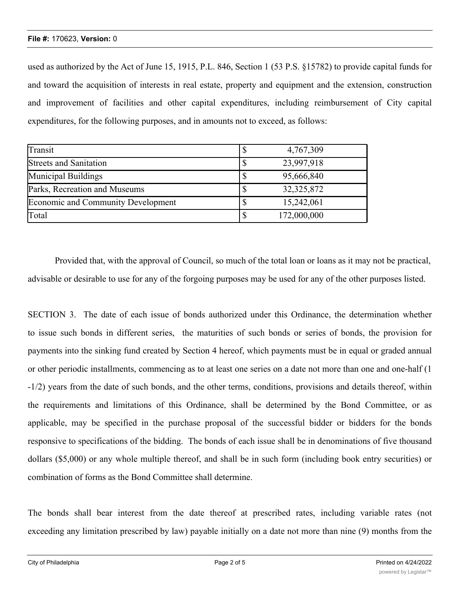## **File #:** 170623, **Version:** 0

used as authorized by the Act of June 15, 1915, P.L. 846, Section 1 (53 P.S. §15782) to provide capital funds for and toward the acquisition of interests in real estate, property and equipment and the extension, construction and improvement of facilities and other capital expenditures, including reimbursement of City capital expenditures, for the following purposes, and in amounts not to exceed, as follows:

| Transit                                   | 4,767,309    |
|-------------------------------------------|--------------|
| <b>Streets and Sanitation</b>             | 23,997,918   |
| Municipal Buildings                       | 95,666,840   |
| Parks, Recreation and Museums             | 32, 325, 872 |
| <b>Economic and Community Development</b> | 15,242,061   |
| Total                                     | 172,000,000  |

Provided that, with the approval of Council, so much of the total loan or loans as it may not be practical, advisable or desirable to use for any of the forgoing purposes may be used for any of the other purposes listed.

SECTION 3. The date of each issue of bonds authorized under this Ordinance, the determination whether to issue such bonds in different series, the maturities of such bonds or series of bonds, the provision for payments into the sinking fund created by Section 4 hereof, which payments must be in equal or graded annual or other periodic installments, commencing as to at least one series on a date not more than one and one-half (1 -1/2) years from the date of such bonds, and the other terms, conditions, provisions and details thereof, within the requirements and limitations of this Ordinance, shall be determined by the Bond Committee, or as applicable, may be specified in the purchase proposal of the successful bidder or bidders for the bonds responsive to specifications of the bidding. The bonds of each issue shall be in denominations of five thousand dollars (\$5,000) or any whole multiple thereof, and shall be in such form (including book entry securities) or combination of forms as the Bond Committee shall determine.

The bonds shall bear interest from the date thereof at prescribed rates, including variable rates (not exceeding any limitation prescribed by law) payable initially on a date not more than nine (9) months from the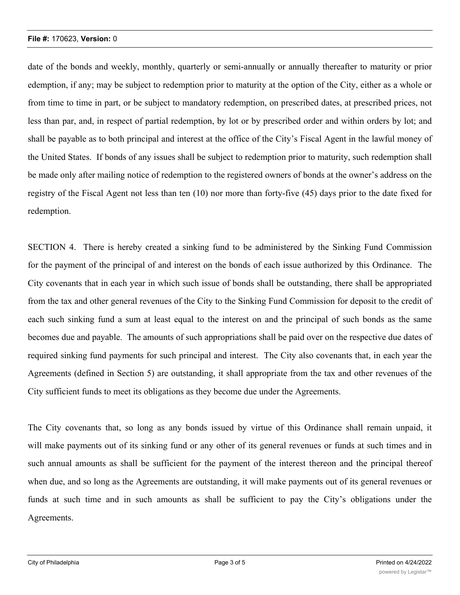## **File #:** 170623, **Version:** 0

date of the bonds and weekly, monthly, quarterly or semi-annually or annually thereafter to maturity or prior edemption, if any; may be subject to redemption prior to maturity at the option of the City, either as a whole or from time to time in part, or be subject to mandatory redemption, on prescribed dates, at prescribed prices, not less than par, and, in respect of partial redemption, by lot or by prescribed order and within orders by lot; and shall be payable as to both principal and interest at the office of the City's Fiscal Agent in the lawful money of the United States. If bonds of any issues shall be subject to redemption prior to maturity, such redemption shall be made only after mailing notice of redemption to the registered owners of bonds at the owner's address on the registry of the Fiscal Agent not less than ten (10) nor more than forty-five (45) days prior to the date fixed for redemption.

SECTION 4. There is hereby created a sinking fund to be administered by the Sinking Fund Commission for the payment of the principal of and interest on the bonds of each issue authorized by this Ordinance. The City covenants that in each year in which such issue of bonds shall be outstanding, there shall be appropriated from the tax and other general revenues of the City to the Sinking Fund Commission for deposit to the credit of each such sinking fund a sum at least equal to the interest on and the principal of such bonds as the same becomes due and payable. The amounts of such appropriations shall be paid over on the respective due dates of required sinking fund payments for such principal and interest. The City also covenants that, in each year the Agreements (defined in Section 5) are outstanding, it shall appropriate from the tax and other revenues of the City sufficient funds to meet its obligations as they become due under the Agreements.

The City covenants that, so long as any bonds issued by virtue of this Ordinance shall remain unpaid, it will make payments out of its sinking fund or any other of its general revenues or funds at such times and in such annual amounts as shall be sufficient for the payment of the interest thereon and the principal thereof when due, and so long as the Agreements are outstanding, it will make payments out of its general revenues or funds at such time and in such amounts as shall be sufficient to pay the City's obligations under the Agreements.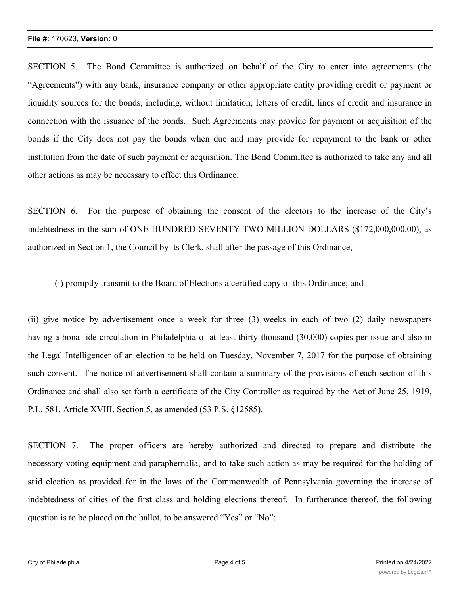SECTION 5. The Bond Committee is authorized on behalf of the City to enter into agreements (the "Agreements") with any bank, insurance company or other appropriate entity providing credit or payment or liquidity sources for the bonds, including, without limitation, letters of credit, lines of credit and insurance in connection with the issuance of the bonds. Such Agreements may provide for payment or acquisition of the bonds if the City does not pay the bonds when due and may provide for repayment to the bank or other institution from the date of such payment or acquisition. The Bond Committee is authorized to take any and all other actions as may be necessary to effect this Ordinance.

SECTION 6. For the purpose of obtaining the consent of the electors to the increase of the City's indebtedness in the sum of ONE HUNDRED SEVENTY-TWO MILLION DOLLARS (\$172,000,000.00), as authorized in Section 1, the Council by its Clerk, shall after the passage of this Ordinance,

(i) promptly transmit to the Board of Elections a certified copy of this Ordinance; and

(ii) give notice by advertisement once a week for three (3) weeks in each of two (2) daily newspapers having a bona fide circulation in Philadelphia of at least thirty thousand (30,000) copies per issue and also in the Legal Intelligencer of an election to be held on Tuesday, November 7, 2017 for the purpose of obtaining such consent. The notice of advertisement shall contain a summary of the provisions of each section of this Ordinance and shall also set forth a certificate of the City Controller as required by the Act of June 25, 1919, P.L. 581, Article XVIII, Section 5, as amended (53 P.S. §12585).

SECTION 7. The proper officers are hereby authorized and directed to prepare and distribute the necessary voting equipment and paraphernalia, and to take such action as may be required for the holding of said election as provided for in the laws of the Commonwealth of Pennsylvania governing the increase of indebtedness of cities of the first class and holding elections thereof. In furtherance thereof, the following question is to be placed on the ballot, to be answered "Yes" or "No":

 $\mathcal{S}_{\mathcal{S}}$  is the City of Philadelphia borrow ONE HUNDRED SEVENTY-TWO MILLION  $\mathcal{S}_{\mathcal{S}}$